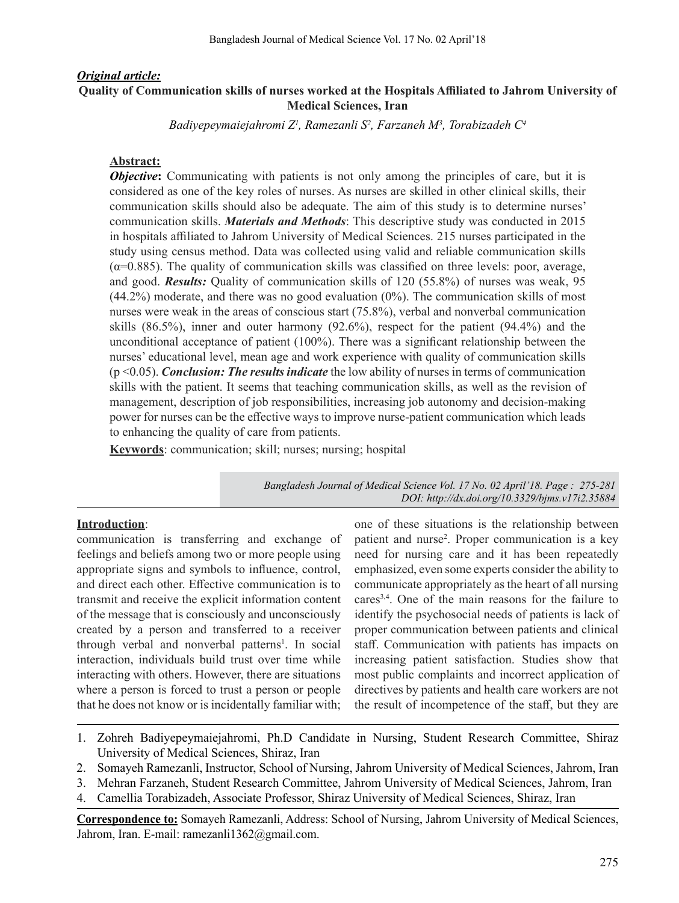## *Original article:* **Quality of Communication skills of nurses worked at the Hospitals Affiliated to Jahrom University of Medical Sciences, Iran**

*Badiyepeymaiejahromi Z1 , Ramezanli S2 , Farzaneh M3 , Torabizadeh C4*

### **Abstract:**

*Objective*: Communicating with patients is not only among the principles of care, but it is considered as one of the key roles of nurses. As nurses are skilled in other clinical skills, their communication skills should also be adequate. The aim of this study is to determine nurses' communication skills. *Materials and Methods*: This descriptive study was conducted in 2015 in hospitals affiliated to Jahrom University of Medical Sciences. 215 nurses participated in the study using census method. Data was collected using valid and reliable communication skills  $(\alpha=0.885)$ . The quality of communication skills was classified on three levels: poor, average, and good. *Results:* Quality of communication skills of 120 (55.8%) of nurses was weak, 95 (44.2%) moderate, and there was no good evaluation (0%). The communication skills of most nurses were weak in the areas of conscious start (75.8%), verbal and nonverbal communication skills (86.5%), inner and outer harmony (92.6%), respect for the patient (94.4%) and the unconditional acceptance of patient (100%). There was a significant relationship between the nurses' educational level, mean age and work experience with quality of communication skills (p <0.05). *Conclusion: The results indicate* the low ability of nurses in terms of communication skills with the patient. It seems that teaching communication skills, as well as the revision of management, description of job responsibilities, increasing job autonomy and decision-making power for nurses can be the effective ways to improve nurse-patient communication which leads to enhancing the quality of care from patients.

**Keywords**: communication; skill; nurses; nursing; hospital

*Bangladesh Journal of Medical Science Vol. 17 No. 02 April'18. Page : 275-281 DOI: http://dx.doi.org/10.3329/bjms.v17i2.35884*

# **Introduction**:

communication is transferring and exchange of feelings and beliefs among two or more people using appropriate signs and symbols to influence, control, and direct each other. Effective communication is to transmit and receive the explicit information content of the message that is consciously and unconsciously created by a person and transferred to a receiver through verbal and nonverbal patterns<sup>1</sup>. In social interaction, individuals build trust over time while interacting with others. However, there are situations where a person is forced to trust a person or people that he does not know or is incidentally familiar with;

one of these situations is the relationship between patient and nurse<sup>2</sup>. Proper communication is a key need for nursing care and it has been repeatedly emphasized, even some experts consider the ability to communicate appropriately as the heart of all nursing cares3,4. One of the main reasons for the failure to identify the psychosocial needs of patients is lack of proper communication between patients and clinical staff. Communication with patients has impacts on increasing patient satisfaction. Studies show that most public complaints and incorrect application of directives by patients and health care workers are not the result of incompetence of the staff, but they are

- 1. Zohreh Badiyepeymaiejahromi, Ph.D Candidate in Nursing, Student Research Committee, Shiraz University of Medical Sciences, Shiraz, Iran
- 2. Somayeh Ramezanli, Instructor, School of Nursing, Jahrom University of Medical Sciences, Jahrom, Iran
- 3. Mehran Farzaneh, Student Research Committee, Jahrom University of Medical Sciences, Jahrom, Iran
- 4. Camellia Torabizadeh, Associate Professor, Shiraz University of Medical Sciences, Shiraz, Iran

**Correspondence to:** Somayeh Ramezanli, Address: School of Nursing, Jahrom University of Medical Sciences, Jahrom, Iran. E-mail: ramezanli1362@gmail.com.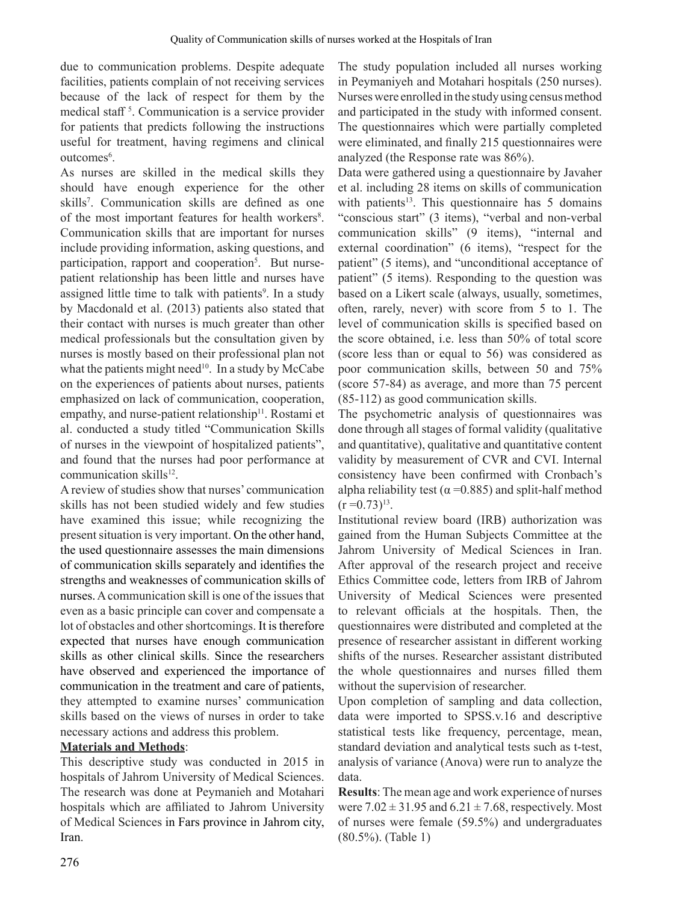due to communication problems. Despite adequate facilities, patients complain of not receiving services because of the lack of respect for them by the medical staff <sup>5</sup> . Communication is a service provider for patients that predicts following the instructions useful for treatment, having regimens and clinical outcomes<sup>6</sup>.

As nurses are skilled in the medical skills they should have enough experience for the other skills<sup>7</sup>. Communication skills are defined as one of the most important features for health workers<sup>8</sup>. Communication skills that are important for nurses include providing information, asking questions, and participation, rapport and cooperation<sup>5</sup>. But nursepatient relationship has been little and nurses have assigned little time to talk with patients<sup>9</sup>. In a study by Macdonald et al. (2013) patients also stated that their contact with nurses is much greater than other medical professionals but the consultation given by nurses is mostly based on their professional plan not what the patients might need<sup>10</sup>. In a study by McCabe on the experiences of patients about nurses, patients emphasized on lack of communication, cooperation, empathy, and nurse-patient relationship<sup>11</sup>. Rostami et al. conducted a study titled "Communication Skills of nurses in the viewpoint of hospitalized patients", and found that the nurses had poor performance at communication skills $12$ .

A review of studies show that nurses' communication skills has not been studied widely and few studies have examined this issue; while recognizing the present situation is very important. On the other hand, the used questionnaire assesses the main dimensions of communication skills separately and identifies the strengths and weaknesses of communication skills of nurses. A communication skill is one of the issues that even as a basic principle can cover and compensate a lot of obstacles and other shortcomings. It is therefore expected that nurses have enough communication skills as other clinical skills. Since the researchers have observed and experienced the importance of communication in the treatment and care of patients, they attempted to examine nurses' communication skills based on the views of nurses in order to take necessary actions and address this problem.

# **Materials and Methods**:

This descriptive study was conducted in 2015 in hospitals of Jahrom University of Medical Sciences. The research was done at Peymanieh and Motahari hospitals which are affiliated to Jahrom University of Medical Sciences in Fars province in Jahrom city, Iran.

The study population included all nurses working in Peymaniyeh and Motahari hospitals (250 nurses). Nurses were enrolled in the study using census method and participated in the study with informed consent. The questionnaires which were partially completed were eliminated, and finally 215 questionnaires were analyzed (the Response rate was 86%).

Data were gathered using a questionnaire by Javaher et al. including 28 items on skills of communication with patients<sup>13</sup>. This questionnaire has  $5$  domains "conscious start" (3 items), "verbal and non-verbal communication skills" (9 items), "internal and external coordination" (6 items), "respect for the patient" (5 items), and "unconditional acceptance of patient" (5 items). Responding to the question was based on a Likert scale (always, usually, sometimes, often, rarely, never) with score from 5 to 1. The level of communication skills is specified based on the score obtained, i.e. less than 50% of total score (score less than or equal to 56) was considered as poor communication skills, between 50 and 75% (score 57-84) as average, and more than 75 percent (85-112) as good communication skills.

The psychometric analysis of questionnaires was done through all stages of formal validity (qualitative and quantitative), qualitative and quantitative content validity by measurement of CVR and CVI. Internal consistency have been confirmed with Cronbach's alpha reliability test ( $\alpha$  =0.885) and split-half method  $(r = 0.73)^{13}$ .

Institutional review board (IRB) authorization was gained from the Human Subjects Committee at the Jahrom University of Medical Sciences in Iran. After approval of the research project and receive Ethics Committee code, letters from IRB of Jahrom University of Medical Sciences were presented to relevant officials at the hospitals. Then, the questionnaires were distributed and completed at the presence of researcher assistant in different working shifts of the nurses. Researcher assistant distributed the whole questionnaires and nurses filled them without the supervision of researcher.

Upon completion of sampling and data collection, data were imported to SPSS.v.16 and descriptive statistical tests like frequency, percentage, mean, standard deviation and analytical tests such as t-test, analysis of variance (Anova) were run to analyze the data.

**Results**: The mean age and work experience of nurses were  $7.02 \pm 31.95$  and  $6.21 \pm 7.68$ , respectively. Most of nurses were female (59.5%) and undergraduates (80.5%). (Table 1)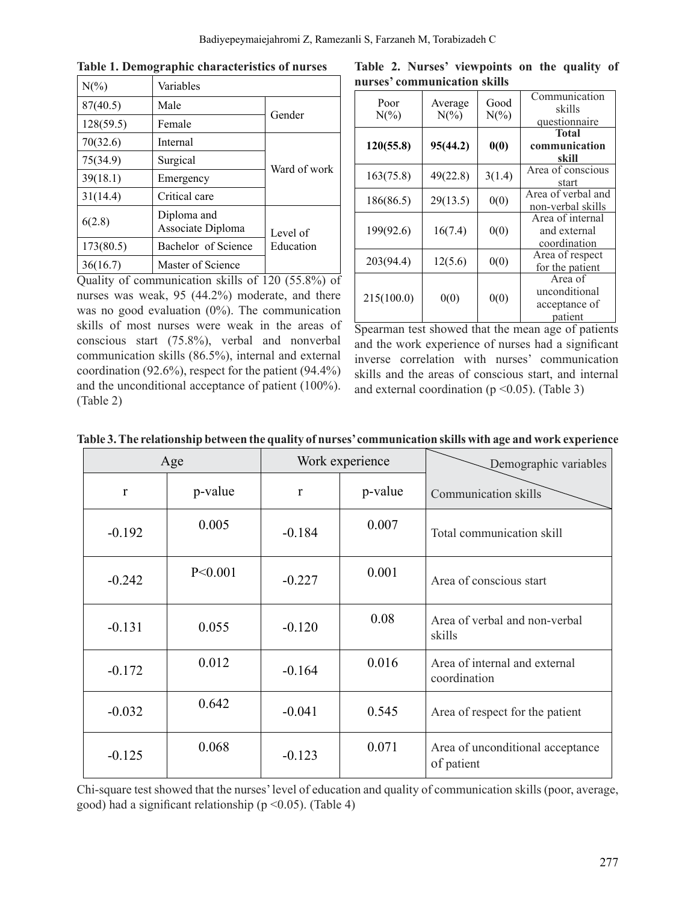| $N(\%)$   | Variables                        |              |  |  |
|-----------|----------------------------------|--------------|--|--|
| 87(40.5)  | Male                             | Gender       |  |  |
| 128(59.5) | Female                           |              |  |  |
| 70(32.6)  | Internal                         | Ward of work |  |  |
| 75(34.9)  | Surgical                         |              |  |  |
| 39(18.1)  | Emergency                        |              |  |  |
| 31(14.4)  | Critical care                    |              |  |  |
| 6(2.8)    | Diploma and<br>Associate Diploma |              |  |  |
| 173(80.5) | Bachelor of Science              | Education    |  |  |
| 36(16.7)  | Master of Science                |              |  |  |

**Table 1. Demographic characteristics of nurses**

**Table 2. Nurses' viewpoints on the quality of nurses' communication skills**

| Poor<br>$N(\%)$ | Average<br>$N(\%)$ | Good<br>$N(\%)$ | Communication<br>skills<br>questionnaire             |
|-----------------|--------------------|-----------------|------------------------------------------------------|
| 120(55.8)       | 95(44.2)           | 0(0)            | <b>Total</b><br>communication<br>skill               |
| 163(75.8)       | 49(22.8)           | 3(1.4)          | Area of conscious<br>start                           |
| 186(86.5)       | 29(13.5)           | 0(0)            | Area of verbal and<br>non-verbal skills              |
| 199(92.6)       | 16(7.4)            | 0(0)            | Area of internal<br>and external<br>coordination     |
| 203(94.4)       | 12(5.6)            | 0(0)            | Area of respect<br>for the patient                   |
| 215(100.0)      | 0(0)               | 0(0)            | Area of<br>unconditional<br>acceptance of<br>patient |

Quality of communication skills of 120 (55.8%) of nurses was weak, 95 (44.2%) moderate, and there was no good evaluation (0%). The communication skills of most nurses were weak in the areas of conscious start (75.8%), verbal and nonverbal communication skills (86.5%), internal and external coordination (92.6%), respect for the patient (94.4%) and the unconditional acceptance of patient (100%). (Table 2)

Spearman test showed that the mean age of patients and the work experience of nurses had a significant inverse correlation with nurses' communication skills and the areas of conscious start, and internal and external coordination ( $p \le 0.05$ ). (Table 3)

| Age      |         |          | Work experience | Demographic variables                         |
|----------|---------|----------|-----------------|-----------------------------------------------|
| r        | p-value | r        | p-value         | Communication skills                          |
| $-0.192$ | 0.005   | $-0.184$ | 0.007           | Total communication skill                     |
| $-0.242$ | P<0.001 | $-0.227$ | 0.001           | Area of conscious start                       |
| $-0.131$ | 0.055   | $-0.120$ | 0.08            | Area of verbal and non-verbal<br>skills       |
| $-0.172$ | 0.012   | $-0.164$ | 0.016           | Area of internal and external<br>coordination |
| $-0.032$ | 0.642   | $-0.041$ | 0.545           | Area of respect for the patient               |

|  | Table 3. The relationship between the quality of nurses' communication skills with age and work experience |
|--|------------------------------------------------------------------------------------------------------------|
|  |                                                                                                            |

Chi-square test showed that the nurses'level of education and quality of communication skills (poor, average, good) had a significant relationship ( $p \le 0.05$ ). (Table 4)

 $-0.125$  0.068  $-0.123$  0.071 Area of unconditional acceptance

of patient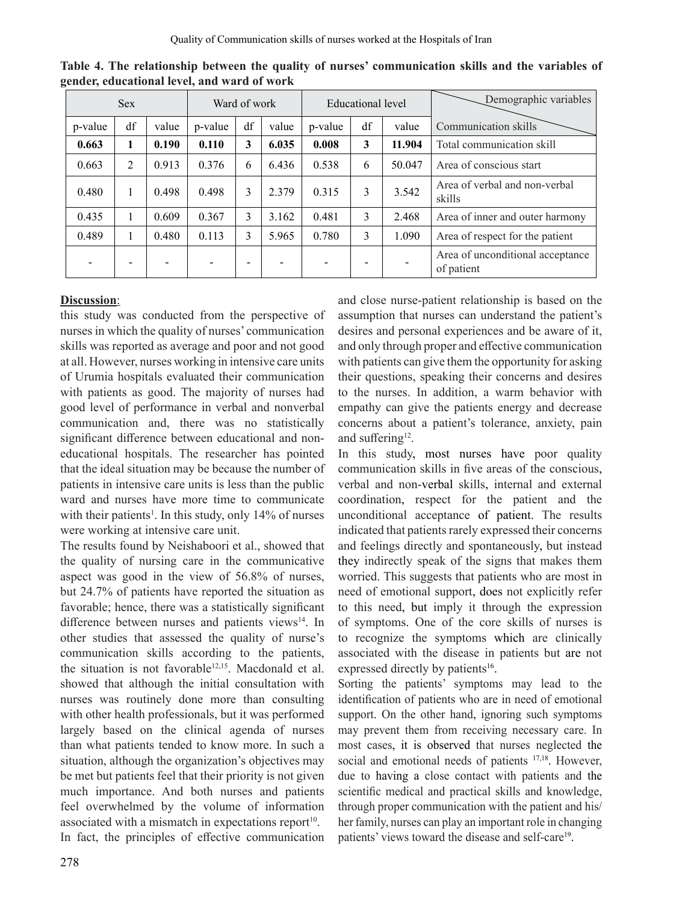| <b>Sex</b> |                | Ward of work             |         | Educational level      |       |         | Demographic variables    |        |                                                |
|------------|----------------|--------------------------|---------|------------------------|-------|---------|--------------------------|--------|------------------------------------------------|
| p-value    | df             | value                    | p-value | $\mathrm{d}\mathbf{f}$ | value | p-value | df                       | value  | Communication skills                           |
| 0.663      | 1              | 0.190                    | 0.110   | 3                      | 6.035 | 0.008   | 3                        | 11.904 | Total communication skill                      |
| 0.663      | $\overline{2}$ | 0.913                    | 0.376   | 6                      | 6.436 | 0.538   | 6                        | 50.047 | Area of conscious start                        |
| 0.480      | 1              | 0.498                    | 0.498   | 3                      | 2.379 | 0.315   | 3                        | 3.542  | Area of verbal and non-verbal<br>skills        |
| 0.435      |                | 0.609                    | 0.367   | 3                      | 3.162 | 0.481   | 3                        | 2.468  | Area of inner and outer harmony                |
| 0.489      | 1              | 0.480                    | 0.113   | 3                      | 5.965 | 0.780   | 3                        | 1.090  | Area of respect for the patient                |
|            | -              | $\overline{\phantom{0}}$ |         | -                      |       |         | $\overline{\phantom{a}}$ |        | Area of unconditional acceptance<br>of patient |

**Table 4. The relationship between the quality of nurses' communication skills and the variables of gender, educational level, and ward of work**

# **Discussion**:

this study was conducted from the perspective of nurses in which the quality of nurses' communication skills was reported as average and poor and not good at all. However, nurses working in intensive care units of Urumia hospitals evaluated their communication with patients as good. The majority of nurses had good level of performance in verbal and nonverbal communication and, there was no statistically significant difference between educational and noneducational hospitals. The researcher has pointed that the ideal situation may be because the number of patients in intensive care units is less than the public ward and nurses have more time to communicate with their patients<sup>1</sup>. In this study, only 14% of nurses were working at intensive care unit.

The results found by Neishaboori et al., showed that the quality of nursing care in the communicative aspect was good in the view of 56.8% of nurses, but 24.7% of patients have reported the situation as favorable; hence, there was a statistically significant difference between nurses and patients views<sup>14</sup>. In other studies that assessed the quality of nurse's communication skills according to the patients, the situation is not favorable<sup>12,15</sup>. Macdonald et al. showed that although the initial consultation with nurses was routinely done more than consulting with other health professionals, but it was performed largely based on the clinical agenda of nurses than what patients tended to know more. In such a situation, although the organization's objectives may be met but patients feel that their priority is not given much importance. And both nurses and patients feel overwhelmed by the volume of information associated with a mismatch in expectations report $10$ . In fact, the principles of effective communication

and close nurse-patient relationship is based on the assumption that nurses can understand the patient's desires and personal experiences and be aware of it, and only through proper and effective communication with patients can give them the opportunity for asking their questions, speaking their concerns and desires to the nurses. In addition, a warm behavior with empathy can give the patients energy and decrease concerns about a patient's tolerance, anxiety, pain and suffering<sup>12</sup>.

In this study, most nurses have poor quality communication skills in five areas of the conscious, verbal and non-verbal skills, internal and external coordination, respect for the patient and the unconditional acceptance of patient. The results indicated that patients rarely expressed their concerns and feelings directly and spontaneously, but instead they indirectly speak of the signs that makes them worried. This suggests that patients who are most in need of emotional support, does not explicitly refer to this need, but imply it through the expression of symptoms. One of the core skills of nurses is to recognize the symptoms which are clinically associated with the disease in patients but are not expressed directly by patients<sup>16</sup>.

Sorting the patients' symptoms may lead to the identification of patients who are in need of emotional support. On the other hand, ignoring such symptoms may prevent them from receiving necessary care. In most cases, it is observed that nurses neglected the social and emotional needs of patients <sup>17,18</sup>. However, due to having a close contact with patients and the scientific medical and practical skills and knowledge, through proper communication with the patient and his/ her family, nurses can play an important role in changing patients' views toward the disease and self-care<sup>19</sup>.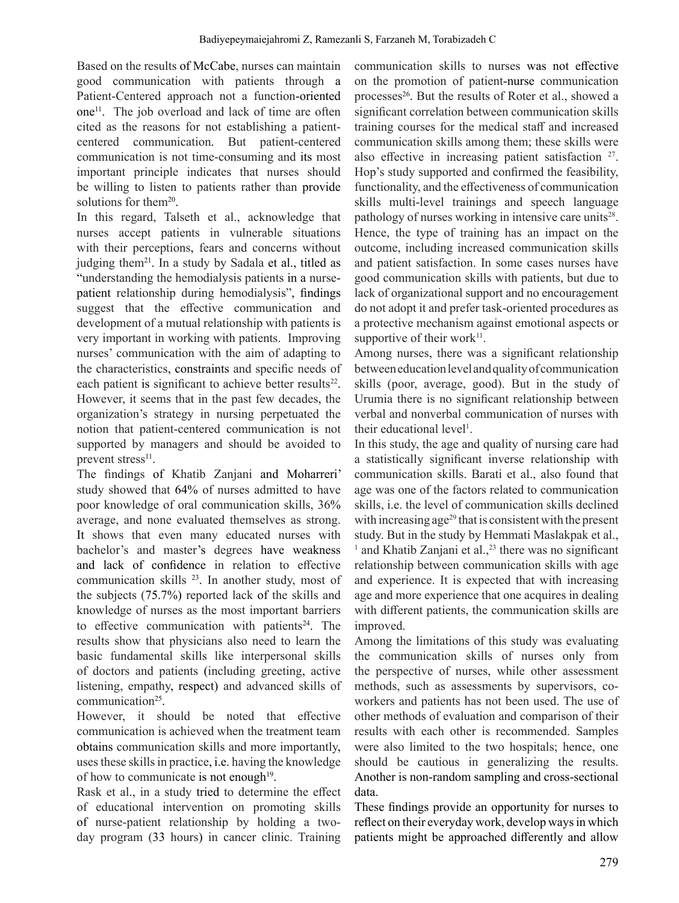Based on the results of McCabe, nurses can maintain good communication with patients through a Patient-Centered approach not a function-oriented one<sup>11</sup>. The job overload and lack of time are often cited as the reasons for not establishing a patientcentered communication. But patient-centered communication is not time-consuming and its most important principle indicates that nurses should be willing to listen to patients rather than provide solutions for them<sup>20</sup>.

In this regard, Talseth et al., acknowledge that nurses accept patients in vulnerable situations with their perceptions, fears and concerns without judging them<sup>21</sup>. In a study by Sadala et al., titled as "understanding the hemodialysis patients in a nursepatient relationship during hemodialysis", findings suggest that the effective communication and development of a mutual relationship with patients is very important in working with patients. Improving nurses' communication with the aim of adapting to the characteristics, constraints and specific needs of each patient is significant to achieve better results<sup>22</sup>. However, it seems that in the past few decades, the organization's strategy in nursing perpetuated the notion that patient-centered communication is not supported by managers and should be avoided to prevent stress<sup>11</sup>.

The findings of Khatib Zanjani and Moharreri' study showed that 64% of nurses admitted to have poor knowledge of oral communication skills, 36% average, and none evaluated themselves as strong. It shows that even many educated nurses with bachelor's and master's degrees have weakness and lack of confidence in relation to effective communication skills 23. In another study, most of the subjects (75.7%) reported lack of the skills and knowledge of nurses as the most important barriers to effective communication with patients<sup>24</sup>. The results show that physicians also need to learn the basic fundamental skills like interpersonal skills of doctors and patients (including greeting, active listening, empathy, respect) and advanced skills of communication<sup>25</sup>.

However, it should be noted that effective communication is achieved when the treatment team obtains communication skills and more importantly, uses these skills in practice, i.e. having the knowledge of how to communicate is not enough $19$ .

Rask et al., in a study tried to determine the effect of educational intervention on promoting skills of nurse-patient relationship by holding a twoday program (33 hours) in cancer clinic. Training

communication skills to nurses was not effective on the promotion of patient-nurse communication processes<sup>26</sup>. But the results of Roter et al., showed a significant correlation between communication skills training courses for the medical staff and increased communication skills among them; these skills were also effective in increasing patient satisfaction <sup>27</sup>. Hop's study supported and confirmed the feasibility, functionality, and the effectiveness of communication skills multi-level trainings and speech language pathology of nurses working in intensive care units<sup>28</sup>. Hence, the type of training has an impact on the outcome, including increased communication skills and patient satisfaction. In some cases nurses have good communication skills with patients, but due to lack of organizational support and no encouragement do not adopt it and prefer task-oriented procedures as a protective mechanism against emotional aspects or supportive of their work $11$ .

Among nurses, there was a significant relationship betweeneducationlevelandqualityofcommunication skills (poor, average, good). But in the study of Urumia there is no significant relationship between verbal and nonverbal communication of nurses with their educational level<sup>1</sup>.

In this study, the age and quality of nursing care had a statistically significant inverse relationship with communication skills. Barati et al., also found that age was one of the factors related to communication skills, i.e. the level of communication skills declined with increasing age<sup>29</sup> that is consistent with the present study. But in the study by Hemmati Maslakpak et al.,  $<sup>1</sup>$  and Khatib Zanjani et al.,<sup>23</sup> there was no significant</sup> relationship between communication skills with age and experience. It is expected that with increasing age and more experience that one acquires in dealing with different patients, the communication skills are improved.

Among the limitations of this study was evaluating the communication skills of nurses only from the perspective of nurses, while other assessment methods, such as assessments by supervisors, coworkers and patients has not been used. The use of other methods of evaluation and comparison of their results with each other is recommended. Samples were also limited to the two hospitals; hence, one should be cautious in generalizing the results. Another is non-random sampling and cross-sectional data.

These findings provide an opportunity for nurses to reflect on their everyday work, develop waysin which patients might be approached differently and allow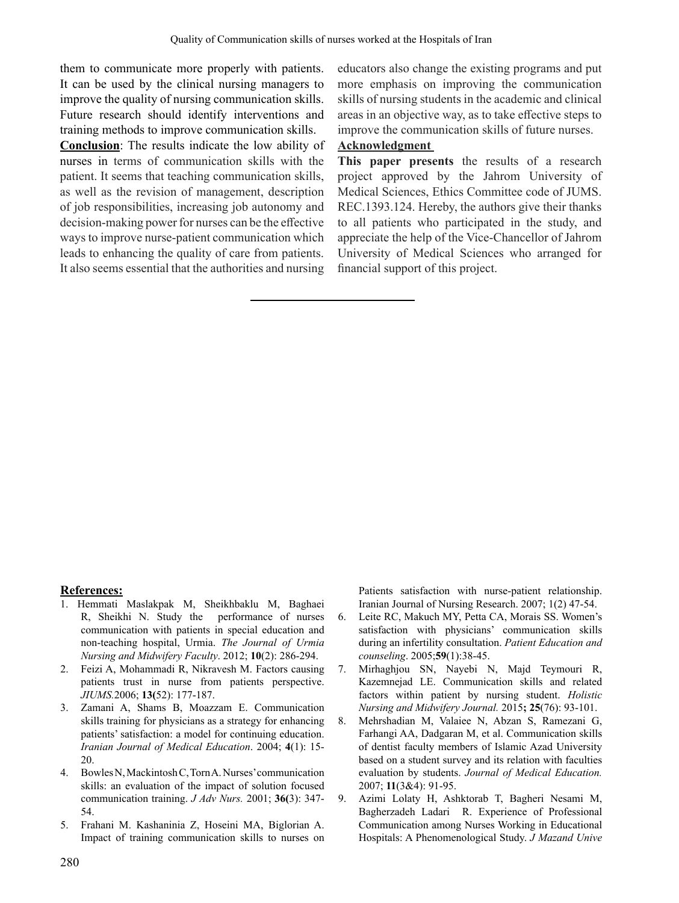them to communicate more properly with patients. It can be used by the clinical nursing managers to improve the quality of nursing communication skills. Future research should identify interventions and training methods to improve communication skills.

**Conclusion**: The results indicate the low ability of nurses in terms of communication skills with the patient. It seems that teaching communication skills, as well as the revision of management, description of job responsibilities, increasing job autonomy and decision-making power for nurses can be the effective ways to improve nurse-patient communication which leads to enhancing the quality of care from patients. It also seems essential that the authorities and nursing educators also change the existing programs and put more emphasis on improving the communication skills of nursing students in the academic and clinical areas in an objective way, as to take effective steps to improve the communication skills of future nurses.

# **Acknowledgment**

**This paper presents** the results of a research project approved by the Jahrom University of Medical Sciences, Ethics Committee code of JUMS. REC.1393.124. Hereby, the authors give their thanks to all patients who participated in the study, and appreciate the help of the Vice-Chancellor of Jahrom University of Medical Sciences who arranged for financial support of this project.

#### **References:**

- 1. Hemmati Maslakpak M, Sheikhbaklu M, Baghaei R, Sheikhi N. Study the performance of nurses communication with patients in special education and non-teaching hospital, Urmia. *The Journal of Urmia Nursing and Midwifery Faculty*. 2012; **10**(2): 286-294.
- 2. Feizi A, Mohammadi R, Nikravesh M. Factors causing patients trust in nurse from patients perspective. *JIUMS.*2006; **13(**52): 177-187.
- 3. Zamani A, Shams B, Moazzam E. Communication skills training for physicians as a strategy for enhancing patients' satisfaction: a model for continuing education. *Iranian Journal of Medical Education*. 2004; **4**(1): 15- 20.
- 4. BowlesN,MackintoshC,TornA.Nurses'communication skills: an evaluation of the impact of solution focused communication training. *J Adv Nurs.* 2001; **36(**3): 347- 54.
- 5. Frahani M. Kashaninia Z, Hoseini MA, Biglorian A. Impact of training communication skills to nurses on

Patients satisfaction with nurse-patient relationship. Iranian Journal of Nursing Research. 2007; 1(2) 47-54.

- 6. Leite RC, Makuch MY, Petta CA, Morais SS. Women's satisfaction with physicians' communication skills during an infertility consultation. *Patient Education and counseling*. 2005;**59**(1):38-45.
- 7. Mirhaghjou SN, Nayebi N, Majd Teymouri R, Kazemnejad LE. Communication skills and related factors within patient by nursing student. *Holistic Nursing and Midwifery Journal.* 2015**; 25**(76): 93-101.
- 8. Mehrshadian M, Valaiee N, Abzan S, Ramezani G, Farhangi AA, Dadgaran M, et al. Communication skills of dentist faculty members of Islamic Azad University based on a student survey and its relation with faculties evaluation by students. *Journal of Medical Education.*  2007; **11**(3&4): 91-95.
- 9. Azimi Lolaty H, Ashktorab T, Bagheri Nesami M, Bagherzadeh Ladari R. Experience of Professional Communication among Nurses Working in Educational Hospitals: A Phenomenological Study. *J Mazand Unive*